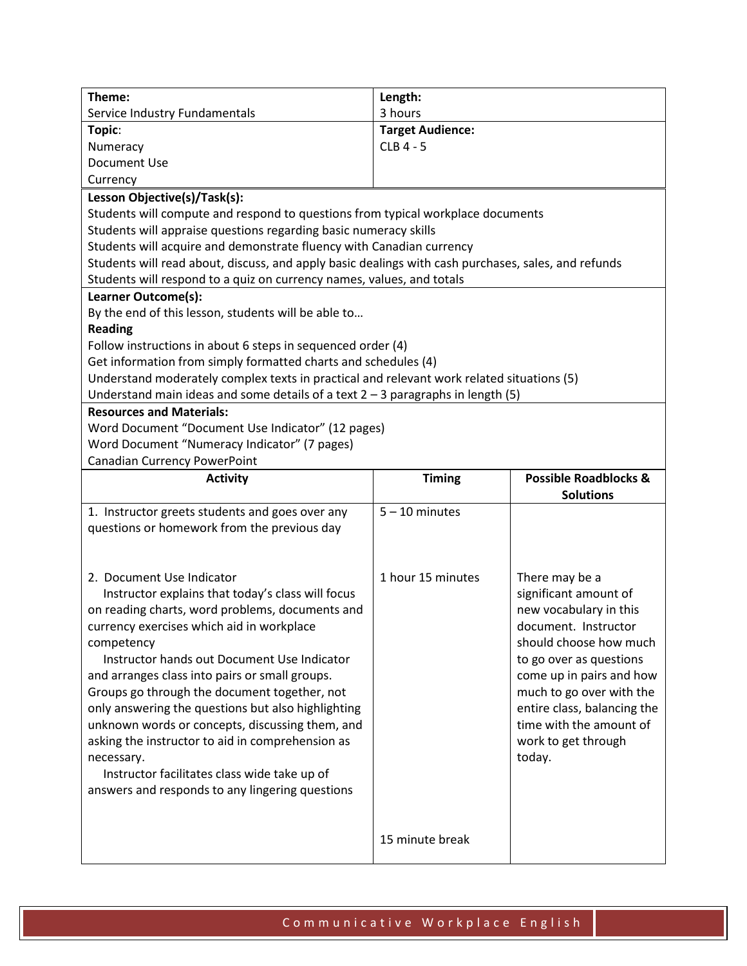| Theme:                                                                                              | Length:                 |                                                      |  |
|-----------------------------------------------------------------------------------------------------|-------------------------|------------------------------------------------------|--|
| Service Industry Fundamentals                                                                       | 3 hours                 |                                                      |  |
| Topic:                                                                                              | <b>Target Audience:</b> |                                                      |  |
| Numeracy                                                                                            | CLB 4 - 5               |                                                      |  |
| Document Use                                                                                        |                         |                                                      |  |
| Currency                                                                                            |                         |                                                      |  |
| Lesson Objective(s)/Task(s):                                                                        |                         |                                                      |  |
| Students will compute and respond to questions from typical workplace documents                     |                         |                                                      |  |
| Students will appraise questions regarding basic numeracy skills                                    |                         |                                                      |  |
| Students will acquire and demonstrate fluency with Canadian currency                                |                         |                                                      |  |
| Students will read about, discuss, and apply basic dealings with cash purchases, sales, and refunds |                         |                                                      |  |
| Students will respond to a quiz on currency names, values, and totals                               |                         |                                                      |  |
| Learner Outcome(s):                                                                                 |                         |                                                      |  |
| By the end of this lesson, students will be able to                                                 |                         |                                                      |  |
| <b>Reading</b>                                                                                      |                         |                                                      |  |
| Follow instructions in about 6 steps in sequenced order (4)                                         |                         |                                                      |  |
| Get information from simply formatted charts and schedules (4)                                      |                         |                                                      |  |
| Understand moderately complex texts in practical and relevant work related situations (5)           |                         |                                                      |  |
| Understand main ideas and some details of a text $2 - 3$ paragraphs in length (5)                   |                         |                                                      |  |
| <b>Resources and Materials:</b>                                                                     |                         |                                                      |  |
| Word Document "Document Use Indicator" (12 pages)                                                   |                         |                                                      |  |
| Word Document "Numeracy Indicator" (7 pages)                                                        |                         |                                                      |  |
| Canadian Currency PowerPoint                                                                        |                         |                                                      |  |
|                                                                                                     |                         |                                                      |  |
| <b>Activity</b>                                                                                     | <b>Timing</b>           | <b>Possible Roadblocks &amp;</b><br><b>Solutions</b> |  |
|                                                                                                     | $5 - 10$ minutes        |                                                      |  |
| 1. Instructor greets students and goes over any<br>questions or homework from the previous day      |                         |                                                      |  |
|                                                                                                     |                         |                                                      |  |
|                                                                                                     |                         |                                                      |  |
| 2. Document Use Indicator                                                                           | 1 hour 15 minutes       | There may be a                                       |  |
| Instructor explains that today's class will focus                                                   |                         | significant amount of                                |  |
| on reading charts, word problems, documents and                                                     |                         | new vocabulary in this                               |  |
| currency exercises which aid in workplace                                                           |                         | document. Instructor                                 |  |
| competency                                                                                          |                         | should choose how much                               |  |
| Instructor hands out Document Use Indicator                                                         |                         | to go over as questions                              |  |
| and arranges class into pairs or small groups.                                                      |                         |                                                      |  |
|                                                                                                     |                         | come up in pairs and how<br>much to go over with the |  |
| Groups go through the document together, not<br>only answering the questions but also highlighting  |                         | entire class, balancing the                          |  |
|                                                                                                     |                         | time with the amount of                              |  |
| unknown words or concepts, discussing them, and                                                     |                         |                                                      |  |
| asking the instructor to aid in comprehension as                                                    |                         | work to get through<br>today.                        |  |
| necessary.<br>Instructor facilitates class wide take up of                                          |                         |                                                      |  |
|                                                                                                     |                         |                                                      |  |
| answers and responds to any lingering questions                                                     |                         |                                                      |  |
|                                                                                                     |                         |                                                      |  |
|                                                                                                     | 15 minute break         |                                                      |  |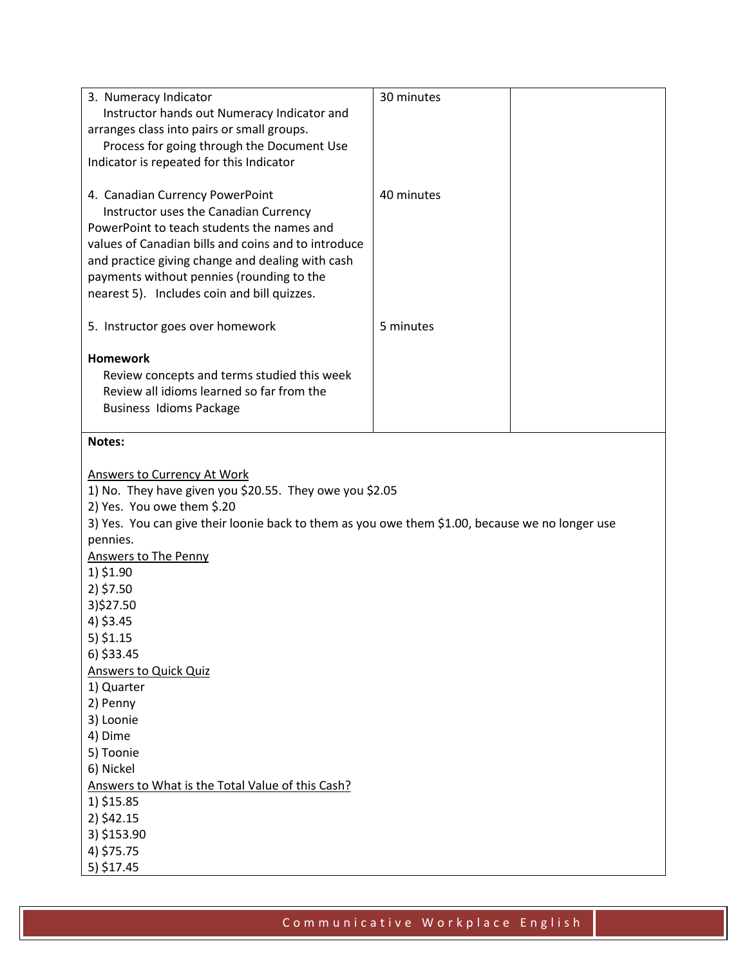| 3. Numeracy Indicator<br>Instructor hands out Numeracy Indicator and<br>arranges class into pairs or small groups.<br>Process for going through the Document Use<br>Indicator is repeated for this Indicator                                                                                                                                                                                                                                                                                                                                                                                    | 30 minutes |  |
|-------------------------------------------------------------------------------------------------------------------------------------------------------------------------------------------------------------------------------------------------------------------------------------------------------------------------------------------------------------------------------------------------------------------------------------------------------------------------------------------------------------------------------------------------------------------------------------------------|------------|--|
| 4. Canadian Currency PowerPoint<br>Instructor uses the Canadian Currency<br>PowerPoint to teach students the names and<br>values of Canadian bills and coins and to introduce<br>and practice giving change and dealing with cash<br>payments without pennies (rounding to the<br>nearest 5). Includes coin and bill quizzes.                                                                                                                                                                                                                                                                   | 40 minutes |  |
| 5. Instructor goes over homework                                                                                                                                                                                                                                                                                                                                                                                                                                                                                                                                                                | 5 minutes  |  |
| <b>Homework</b><br>Review concepts and terms studied this week<br>Review all idioms learned so far from the<br><b>Business Idioms Package</b>                                                                                                                                                                                                                                                                                                                                                                                                                                                   |            |  |
| Notes:                                                                                                                                                                                                                                                                                                                                                                                                                                                                                                                                                                                          |            |  |
| <b>Answers to Currency At Work</b><br>1) No. They have given you \$20.55. They owe you \$2.05<br>2) Yes. You owe them \$.20<br>3) Yes. You can give their loonie back to them as you owe them \$1.00, because we no longer use<br>pennies.<br><b>Answers to The Penny</b><br>1) \$1.90<br>2) \$7.50<br>3)\$27.50<br>4) \$3.45<br>5) \$1.15<br>6) \$33.45<br><b>Answers to Quick Quiz</b><br>1) Quarter<br>2) Penny<br>3) Loonie<br>4) Dime<br>5) Toonie<br>6) Nickel<br>Answers to What is the Total Value of this Cash?<br>1) \$15.85<br>2) \$42.15<br>3) \$153.90<br>4) \$75.75<br>5) \$17.45 |            |  |

Communicative Workplace English